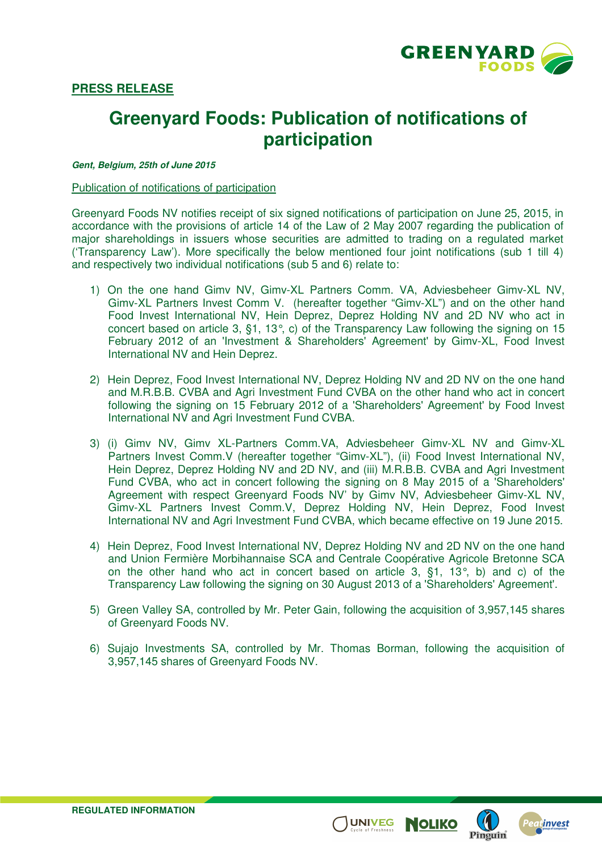

## **PRESS RELEASE**

# **Greenyard Foods: Publication of notifications of participation**

#### **Gent, Belgium, 25th of June 2015**

#### Publication of notifications of participation

Greenyard Foods NV notifies receipt of six signed notifications of participation on June 25, 2015, in accordance with the provisions of article 14 of the Law of 2 May 2007 regarding the publication of major shareholdings in issuers whose securities are admitted to trading on a regulated market ('Transparency Law'). More specifically the below mentioned four joint notifications (sub 1 till 4) and respectively two individual notifications (sub 5 and 6) relate to:

- 1) On the one hand Gimv NV, Gimv-XL Partners Comm. VA, Adviesbeheer Gimv-XL NV, Gimv-XL Partners Invest Comm V. (hereafter together "Gimv-XL") and on the other hand Food Invest International NV, Hein Deprez, Deprez Holding NV and 2D NV who act in concert based on article 3, §1, 13°, c) of the Transparency Law following the signing on 15 February 2012 of an 'Investment & Shareholders' Agreement' by Gimv-XL, Food Invest International NV and Hein Deprez.
- 2) Hein Deprez, Food Invest International NV, Deprez Holding NV and 2D NV on the one hand and M.R.B.B. CVBA and Agri Investment Fund CVBA on the other hand who act in concert following the signing on 15 February 2012 of a 'Shareholders' Agreement' by Food Invest International NV and Agri Investment Fund CVBA.
- 3) (i) Gimv NV, Gimv XL-Partners Comm.VA, Adviesbeheer Gimv-XL NV and Gimv-XL Partners Invest Comm.V (hereafter together "Gimv-XL"), (ii) Food Invest International NV, Hein Deprez, Deprez Holding NV and 2D NV, and (iii) M.R.B.B. CVBA and Agri Investment Fund CVBA, who act in concert following the signing on 8 May 2015 of a 'Shareholders' Agreement with respect Greenyard Foods NV' by Gimv NV, Adviesbeheer Gimv-XL NV, Gimv-XL Partners Invest Comm.V, Deprez Holding NV, Hein Deprez, Food Invest International NV and Agri Investment Fund CVBA, which became effective on 19 June 2015.
- 4) Hein Deprez, Food Invest International NV, Deprez Holding NV and 2D NV on the one hand and Union Fermière Morbihannaise SCA and Centrale Coopérative Agricole Bretonne SCA on the other hand who act in concert based on article 3, §1, 13°, b) and c) of the Transparency Law following the signing on 30 August 2013 of a 'Shareholders' Agreement'.
- 5) Green Valley SA, controlled by Mr. Peter Gain, following the acquisition of 3,957,145 shares of Greenyard Foods NV.
- 6) Sujajo Investments SA, controlled by Mr. Thomas Borman, following the acquisition of 3,957,145 shares of Greenyard Foods NV.

UNIVEG **NOLIKO** 

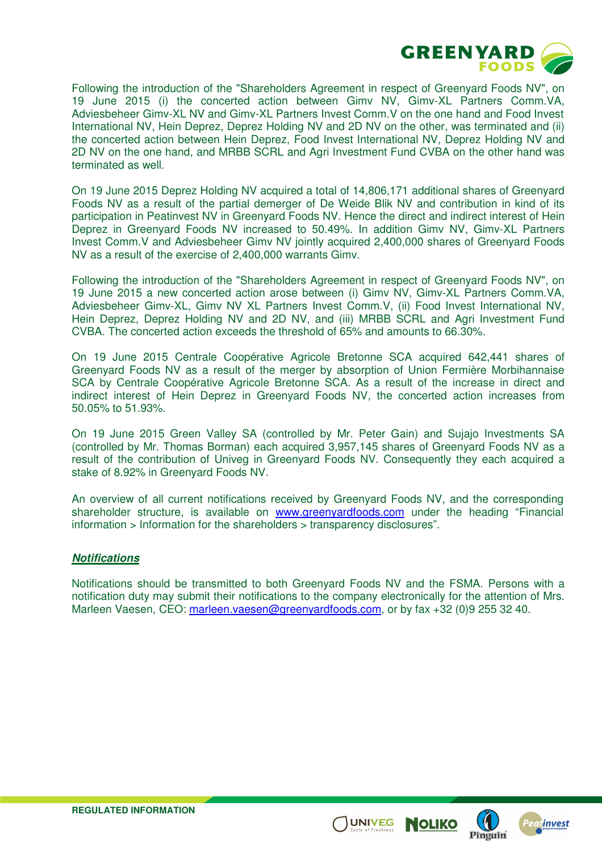

Following the introduction of the "Shareholders Agreement in respect of Greenyard Foods NV", on 19 June 2015 (i) the concerted action between Gimv NV, Gimv-XL Partners Comm.VA, Adviesbeheer Gimv-XL NV and Gimv-XL Partners Invest Comm.V on the one hand and Food Invest International NV, Hein Deprez, Deprez Holding NV and 2D NV on the other, was terminated and (ii) the concerted action between Hein Deprez, Food Invest International NV, Deprez Holding NV and 2D NV on the one hand, and MRBB SCRL and Agri Investment Fund CVBA on the other hand was terminated as well.

On 19 June 2015 Deprez Holding NV acquired a total of 14,806,171 additional shares of Greenyard Foods NV as a result of the partial demerger of De Weide Blik NV and contribution in kind of its participation in Peatinvest NV in Greenyard Foods NV. Hence the direct and indirect interest of Hein Deprez in Greenyard Foods NV increased to 50.49%. In addition Gimv NV, Gimv-XL Partners Invest Comm.V and Adviesbeheer Gimv NV jointly acquired 2,400,000 shares of Greenyard Foods NV as a result of the exercise of 2,400,000 warrants Gimv.

Following the introduction of the "Shareholders Agreement in respect of Greenyard Foods NV", on 19 June 2015 a new concerted action arose between (i) Gimv NV, Gimv-XL Partners Comm.VA, Adviesbeheer Gimv-XL, Gimv NV XL Partners Invest Comm.V, (ii) Food Invest International NV, Hein Deprez, Deprez Holding NV and 2D NV, and (iii) MRBB SCRL and Agri Investment Fund CVBA. The concerted action exceeds the threshold of 65% and amounts to 66.30%.

On 19 June 2015 Centrale Coopérative Agricole Bretonne SCA acquired 642,441 shares of Greenyard Foods NV as a result of the merger by absorption of Union Fermière Morbihannaise SCA by Centrale Coopérative Agricole Bretonne SCA. As a result of the increase in direct and indirect interest of Hein Deprez in Greenyard Foods NV, the concerted action increases from 50.05% to 51.93%.

On 19 June 2015 Green Valley SA (controlled by Mr. Peter Gain) and Sujajo Investments SA (controlled by Mr. Thomas Borman) each acquired 3,957,145 shares of Greenyard Foods NV as a result of the contribution of Univeg in Greenyard Foods NV. Consequently they each acquired a stake of 8.92% in Greenyard Foods NV.

An overview of all current notifications received by Greenyard Foods NV, and the corresponding shareholder structure, is available on www.greenyardfoods.com under the heading "Financial information > Information for the shareholders > transparency disclosures".

### **Notifications**

Notifications should be transmitted to both Greenyard Foods NV and the FSMA. Persons with a notification duty may submit their notifications to the company electronically for the attention of Mrs. Marleen Vaesen, CEO: marleen.vaesen@greenyardfoods.com, or by fax +32 (0)9 255 32 40.

**UNIVEG** 

**NOLIKO**